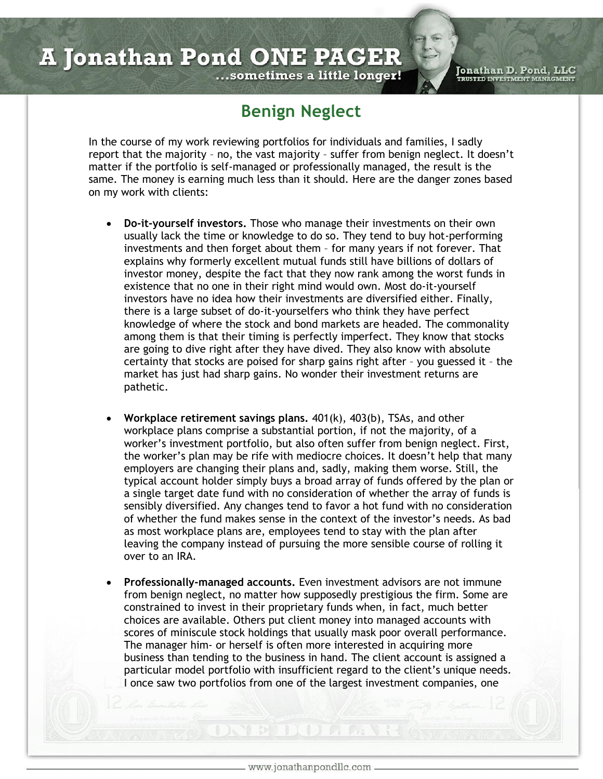Jonathan D. Pond, LLC<br>TRUSTED INVESTMENT MANAGMENT

## ...sometimes a little longer!

## **Benign Neglect**

In the course of my work reviewing portfolios for individuals and families, I sadly report that the majority – no, the vast majority – suffer from benign neglect. It doesn't matter if the portfolio is self-managed or professionally managed, the result is the same. The money is earning much less than it should. Here are the danger zones based on my work with clients:

- **Do-it-yourself investors.** Those who manage their investments on their own usually lack the time or knowledge to do so. They tend to buy hot-performing investments and then forget about them – for many years if not forever. That explains why formerly excellent mutual funds still have billions of dollars of investor money, despite the fact that they now rank among the worst funds in existence that no one in their right mind would own. Most do-it-yourself investors have no idea how their investments are diversified either. Finally, there is a large subset of do-it-yourselfers who think they have perfect knowledge of where the stock and bond markets are headed. The commonality among them is that their timing is perfectly imperfect. They know that stocks are going to dive right after they have dived. They also know with absolute certainty that stocks are poised for sharp gains right after – you guessed it – the market has just had sharp gains. No wonder their investment returns are pathetic.
- **Workplace retirement savings plans.** 401(k), 403(b), TSAs, and other workplace plans comprise a substantial portion, if not the majority, of a worker's investment portfolio, but also often suffer from benign neglect. First, the worker's plan may be rife with mediocre choices. It doesn't help that many employers are changing their plans and, sadly, making them worse. Still, the typical account holder simply buys a broad array of funds offered by the plan or a single target date fund with no consideration of whether the array of funds is sensibly diversified. Any changes tend to favor a hot fund with no consideration of whether the fund makes sense in the context of the investor's needs. As bad as most workplace plans are, employees tend to stay with the plan after leaving the company instead of pursuing the more sensible course of rolling it over to an IRA.
- **Professionally-managed accounts.** Even investment advisors are not immune from benign neglect, no matter how supposedly prestigious the firm. Some are constrained to invest in their proprietary funds when, in fact, much better choices are available. Others put client money into managed accounts with scores of miniscule stock holdings that usually mask poor overall performance. The manager him- or herself is often more interested in acquiring more business than tending to the business in hand. The client account is assigned a particular model portfolio with insufficient regard to the client's unique needs. I once saw two portfolios from one of the largest investment companies, one